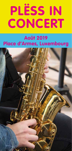# **PLËSS IN PLËSS IN CONCERT CONCERT**

# **Août 2019 Place d'Armes, Luxembourg**

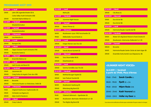## **PROGRAMME AOÛT 2019**

| 1.8.2019           | Jeudi                                       |  |
|--------------------|---------------------------------------------|--|
| 12h00              | Lahn-Dill Jugendorchester (D) &             |  |
|                    | <b>Colne Valley Youth Orchestra (GB)</b>    |  |
| 20h00              | Aischdall Alphornbléiser (L)                |  |
| 2.8.2019           | Vendredi                                    |  |
|                    | <b>Streeta(rt)nimation</b>                  |  |
| 3.8.2019           | <b>Samedi</b>                               |  |
|                    | <b>Streeta(rt)nimation</b>                  |  |
| 4.8.2019           | <b>Dimanche</b>                             |  |
| 14h00              | Lisa Mariotto (L)                           |  |
| 5.8.2019           | Lundi                                       |  |
| 20 <sub>h00</sub>  | <b>Baragan (NL)</b>                         |  |
| 6.8.2019           | Mardi                                       |  |
| 16h00              | <b>Taipei Chanson Youth Orchestra (TW)</b>  |  |
| 20 <sub>h</sub> 00 | <b>Russische Seele (L)</b>                  |  |
| 7.8.2019           | <b>Mercredi</b>                             |  |
| 20 <sub>h</sub> 00 | <b>Ensemble Belarus (L)</b>                 |  |
| 8.8.2019           | Jeudi                                       |  |
| 20h00              | <b>Helt Oncale and Band (D)</b>             |  |
| 9.8.2019           | Vendredi                                    |  |
| 12h00              | Jazzonanz (D)                               |  |
| 20 <sub>h</sub> 00 | Craig Sutton & Angela Chan duo (GB)         |  |
| 10.8.2019          | Samedi                                      |  |
| 08h00              | <b>Brocante</b>                             |  |
| 20 <sub>h00</sub>  | Harmonie Royale «La Stabuloise», Etalle (B) |  |
| 11.8.2019          | <b>Dimanche</b>                             |  |
| <b>11h30</b>       | Original Holsthumer Hopfendudler (D)        |  |
| 14h00              | <b>Orchester Los Figaros (L)</b>            |  |
| <b>20h00</b>       | <b>Alain Graf &amp; Friends (L)</b>         |  |
| 13.8.2019          | <b>Mardi</b>                                |  |
| 20h00              | <b>Crazy Cube (L)</b>                       |  |

| 15.8.2019    | Jeudi                                      |  |
|--------------|--------------------------------------------|--|
|              | MeYouZik                                   |  |
| 16.8.2019    | Vendredi                                   |  |
| 17h00        | «Summer Night Voices»                      |  |
| 17.8.2019    | Samedi                                     |  |
| 20h00        | <b>Steven Pitman (L)</b>                   |  |
| 18.8.2019    | Dimanche                                   |  |
| <b>16h00</b> | Musikverein «Lyra» 1905 Ferschweiler (D)   |  |
| 19h00        | <b>Mëllerdaller Sound Devils (L)</b>       |  |
| 19.8.2019    | Lundi                                      |  |
| 20h00        | Holger Werner Jazz Duo (D)                 |  |
| 20.8.2019    | Mardi                                      |  |
| 20h00        | <b>Yannik Monot Quintett (D)</b>           |  |
| 21.8.2019    | Mercredi                                   |  |
| 12h00        | <b>Tanz Show Ballet (RUS)</b>              |  |
| 20h00        | Divertimento (L)                           |  |
| 22.8.2019    | Jeudi                                      |  |
| 20h00        | Sammy Vomáčka Jazz Trio (D)                |  |
| 23.8.2019    | Vendredi                                   |  |
| 12h00        | <b>Winfried Bungert Septet (D)</b>         |  |
| 20h00        | <b>Ivan Paduart Quintet (B)</b>            |  |
| 24.8.2019    | Samedi                                     |  |
| 16h00        | <b>Musikverein Saarburg (D)</b>            |  |
| 20h00        | <b>Rittersberg Big Band (D)</b>            |  |
| 25.8.2019    | Dimanche                                   |  |
| 11h30        | T(r)ierisch Böhmisch - Egerländer (D)      |  |
| 16h00        | Musikverein «Bertrada» Mürlenbach e.V. (D) |  |

20h00 The Mighty Big Band (B)

| 27.8.2019          | <b>Mardi</b>                                             |
|--------------------|----------------------------------------------------------|
| 20h00              | City Brass (L)                                           |
| 28.8.2019          | <b>Mercredi</b>                                          |
| 12h00              | Duo b!z'art (B)                                          |
| 20 <sub>h</sub> 00 | Duo b!z'art (B)                                          |
| 29.8.2019          | Jeudi                                                    |
| 20h00              | <u> Harmonie Royale Caecilia Izel (B)</u>                |
|                    |                                                          |
| 30.8.2019          | Vendredi                                                 |
| 12h00              | Mister OZ's Big Band tribute to Frank Sinatra (F)        |
| 20h00              | <u> Musikverein «Harmonie» Bollendorf e.V. (D)</u>       |
| 31.8.2019          | <b>Samedi</b>                                            |
| 08h00              | <b>Brocante</b>                                          |
| 16h00              | <u> Harmonie Royale Sainte-Cécile de Saint-Léger (B)</u> |

### **«SUMMER NIGHT VOICES»**

| 16.8.2019   Vendredi<br>à partir de 17h00, Place d'Armes |                            |  |  |
|----------------------------------------------------------|----------------------------|--|--|
| 17h00 - 17h45                                            | <b>Sarah Candle (L)</b>    |  |  |
| 18h00 - 19h00                                            | <b>Fjarill</b> $(SE + ZA)$ |  |  |
| 19h20 - 20h20                                            | <b>Ntjam Rosie (CM)</b>    |  |  |
| $20h40 - 21h40$                                          | <b>Kadri Voorand (EE)</b>  |  |  |
| 22h00 - 23h15                                            | Holler my Dear (D)         |  |  |

Sous réserve de modifications/Änderungen vorbehalten/Program subject to changes.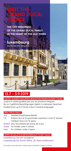# **VISIT THE GRAND DUCAL PALACE**

**THE CITY RESIDENCE OF THE GRAND DUCAL FAMILY IN THE HEART OF THE OLD TOWN**

luxembourg my city · ma ville · meng stad

## 13.7 - 5.9.20191

#### VISITES GUIDÉES/GEFÜHRTE BESICHTIGUNGEN/GUIDED TOURS

Jusqu'à 9 visites guidées par jour en plusieurs langues. Bis zu 9 geführte Besichtigungen täglich in mehreren Sprachen. Guided tours up to 9 times a day in several languages.

#### PRIX/PREIS/PRICE

- 14 € Adultes/Erwachsene/Adults
- 7 € Enfants de 4 à 12 ans/Kinder zwischen 4 und 12 Jahren/ Children from 4 to 12 years
- Gratuit pour les enfants de moins de 4 ans
- Gratis für Kinder unter 4 Jahren
- Free for children under 4 years

#### VENTE DE BILLETS/KARTENVERKAUF/TICKET SALES

luxembourg-city.com ou/oder/or Luxembourg City Tourist Office, 30, Place Guillaume ll

Sous réserve de modifications./Änderungen vorbehalten./Subject to change.